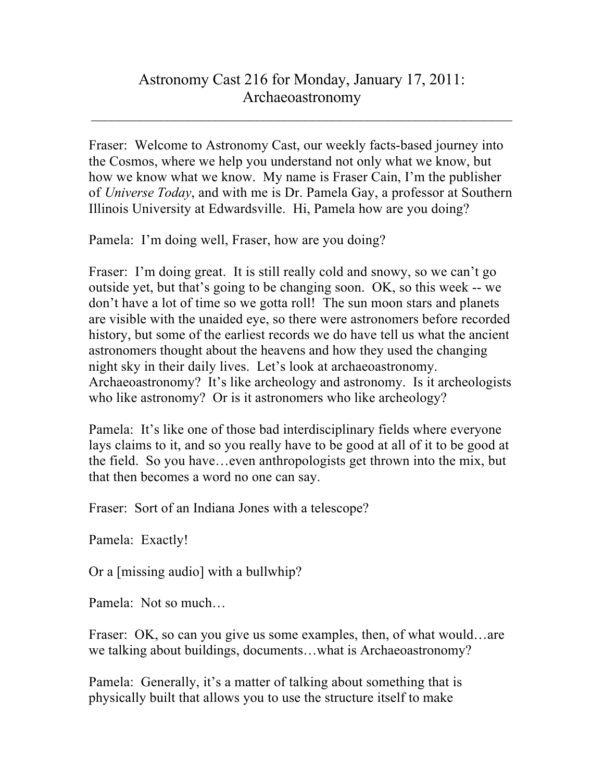## Astronomy Cast 216 for Monday, January 17, 2011: Archaeoastronomy

 $\_$  , and the set of the set of the set of the set of the set of the set of the set of the set of the set of the set of the set of the set of the set of the set of the set of the set of the set of the set of the set of th

Fraser: Welcome to Astronomy Cast, our weekly facts-based journey into the Cosmos, where we help you understand not only what we know, but how we know what we know. My name is Fraser Cain, I'm the publisher of *Universe Today*, and with me is Dr. Pamela Gay, a professor at Southern Illinois University at Edwardsville. Hi, Pamela how are you doing?

Pamela: I'm doing well, Fraser, how are you doing?

Fraser: I'm doing great. It is still really cold and snowy, so we can't go outside yet, but that's going to be changing soon. OK, so this week -- we don't have a lot of time so we gotta roll! The sun moon stars and planets are visible with the unaided eye, so there were astronomers before recorded history, but some of the earliest records we do have tell us what the ancient astronomers thought about the heavens and how they used the changing night sky in their daily lives. Let's look at archaeoastronomy. Archaeoastronomy? It's like archeology and astronomy. Is it archeologists who like astronomy? Or is it astronomers who like archeology?

Pamela: It's like one of those bad interdisciplinary fields where everyone lays claims to it, and so you really have to be good at all of it to be good at the field. So you have…even anthropologists get thrown into the mix, but that then becomes a word no one can say.

Fraser: Sort of an Indiana Jones with a telescope?

Pamela: Exactly!

Or a [missing audio] with a bullwhip?

Pamela: Not so much…

Fraser: OK, so can you give us some examples, then, of what would…are we talking about buildings, documents…what is Archaeoastronomy?

Pamela: Generally, it's a matter of talking about something that is physically built that allows you to use the structure itself to make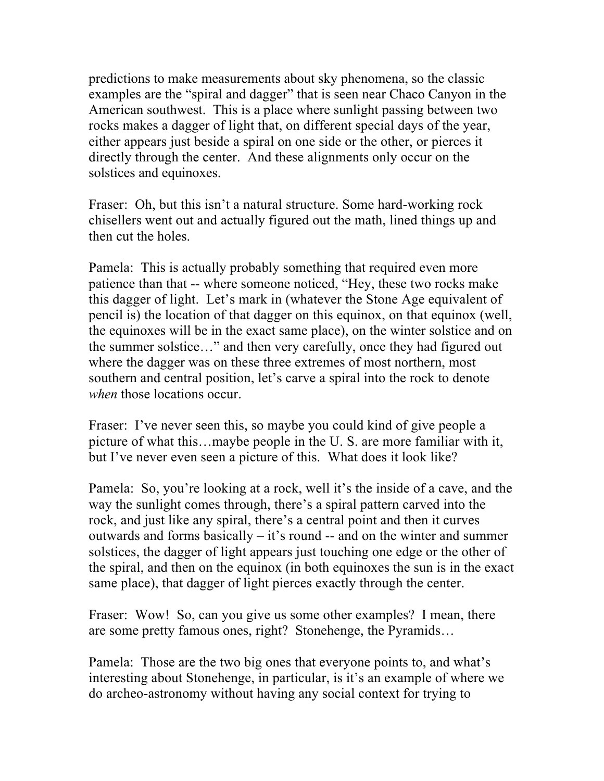predictions to make measurements about sky phenomena, so the classic examples are the "spiral and dagger" that is seen near Chaco Canyon in the American southwest. This is a place where sunlight passing between two rocks makes a dagger of light that, on different special days of the year, either appears just beside a spiral on one side or the other, or pierces it directly through the center. And these alignments only occur on the solstices and equinoxes.

Fraser: Oh, but this isn't a natural structure. Some hard-working rock chisellers went out and actually figured out the math, lined things up and then cut the holes.

Pamela: This is actually probably something that required even more patience than that -- where someone noticed, "Hey, these two rocks make this dagger of light. Let's mark in (whatever the Stone Age equivalent of pencil is) the location of that dagger on this equinox, on that equinox (well, the equinoxes will be in the exact same place), on the winter solstice and on the summer solstice…" and then very carefully, once they had figured out where the dagger was on these three extremes of most northern, most southern and central position, let's carve a spiral into the rock to denote *when* those locations occur.

Fraser: I've never seen this, so maybe you could kind of give people a picture of what this…maybe people in the U. S. are more familiar with it, but I've never even seen a picture of this. What does it look like?

Pamela: So, you're looking at a rock, well it's the inside of a cave, and the way the sunlight comes through, there's a spiral pattern carved into the rock, and just like any spiral, there's a central point and then it curves outwards and forms basically – it's round -- and on the winter and summer solstices, the dagger of light appears just touching one edge or the other of the spiral, and then on the equinox (in both equinoxes the sun is in the exact same place), that dagger of light pierces exactly through the center.

Fraser: Wow! So, can you give us some other examples? I mean, there are some pretty famous ones, right? Stonehenge, the Pyramids…

Pamela: Those are the two big ones that everyone points to, and what's interesting about Stonehenge, in particular, is it's an example of where we do archeo-astronomy without having any social context for trying to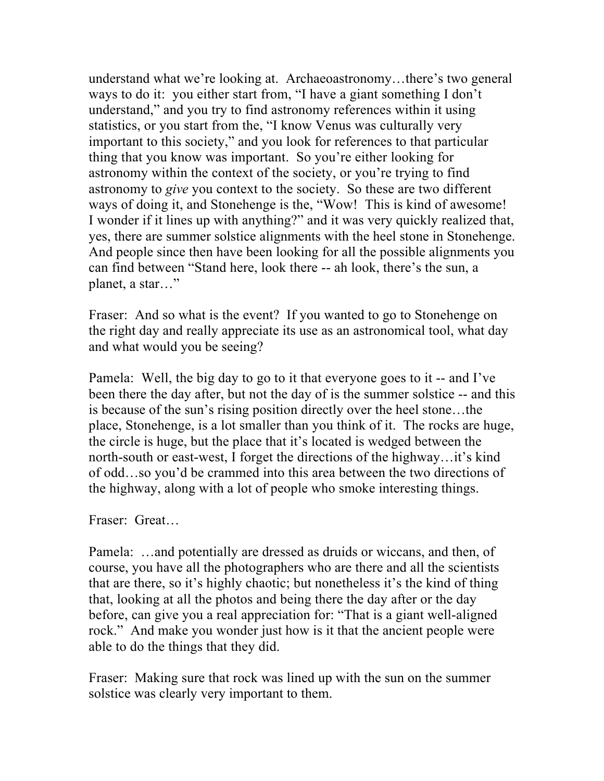understand what we're looking at. Archaeoastronomy…there's two general ways to do it: you either start from, "I have a giant something I don't understand," and you try to find astronomy references within it using statistics, or you start from the, "I know Venus was culturally very important to this society," and you look for references to that particular thing that you know was important. So you're either looking for astronomy within the context of the society, or you're trying to find astronomy to *give* you context to the society. So these are two different ways of doing it, and Stonehenge is the, "Wow! This is kind of awesome! I wonder if it lines up with anything?" and it was very quickly realized that, yes, there are summer solstice alignments with the heel stone in Stonehenge. And people since then have been looking for all the possible alignments you can find between "Stand here, look there -- ah look, there's the sun, a planet, a star…"

Fraser: And so what is the event? If you wanted to go to Stonehenge on the right day and really appreciate its use as an astronomical tool, what day and what would you be seeing?

Pamela: Well, the big day to go to it that everyone goes to it -- and I've been there the day after, but not the day of is the summer solstice -- and this is because of the sun's rising position directly over the heel stone…the place, Stonehenge, is a lot smaller than you think of it. The rocks are huge, the circle is huge, but the place that it's located is wedged between the north-south or east-west, I forget the directions of the highway…it's kind of odd…so you'd be crammed into this area between the two directions of the highway, along with a lot of people who smoke interesting things.

Fraser: Great…

Pamela: …and potentially are dressed as druids or wiccans, and then, of course, you have all the photographers who are there and all the scientists that are there, so it's highly chaotic; but nonetheless it's the kind of thing that, looking at all the photos and being there the day after or the day before, can give you a real appreciation for: "That is a giant well-aligned rock." And make you wonder just how is it that the ancient people were able to do the things that they did.

Fraser: Making sure that rock was lined up with the sun on the summer solstice was clearly very important to them.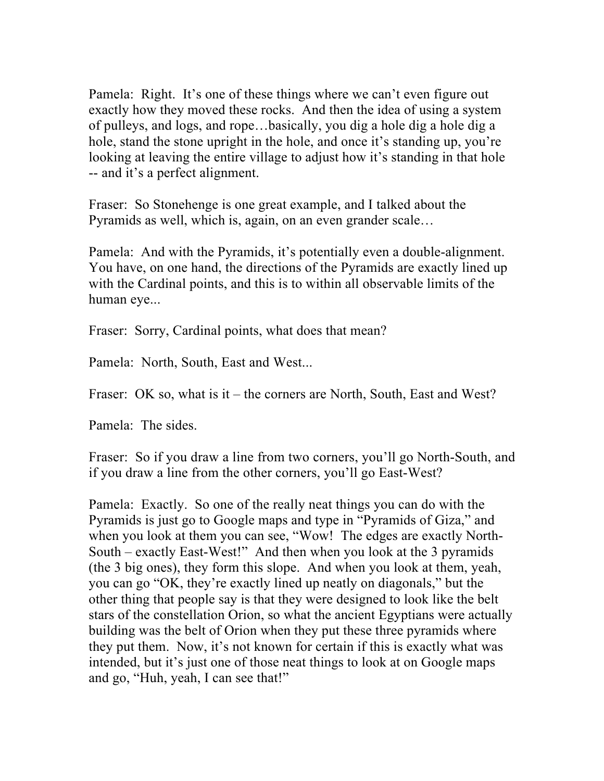Pamela: Right. It's one of these things where we can't even figure out exactly how they moved these rocks. And then the idea of using a system of pulleys, and logs, and rope…basically, you dig a hole dig a hole dig a hole, stand the stone upright in the hole, and once it's standing up, you're looking at leaving the entire village to adjust how it's standing in that hole -- and it's a perfect alignment.

Fraser: So Stonehenge is one great example, and I talked about the Pyramids as well, which is, again, on an even grander scale…

Pamela: And with the Pyramids, it's potentially even a double-alignment. You have, on one hand, the directions of the Pyramids are exactly lined up with the Cardinal points, and this is to within all observable limits of the human eye...

Fraser: Sorry, Cardinal points, what does that mean?

Pamela: North, South, East and West...

Fraser: OK so, what is it – the corners are North, South, East and West?

Pamela: The sides.

Fraser: So if you draw a line from two corners, you'll go North-South, and if you draw a line from the other corners, you'll go East-West?

Pamela: Exactly. So one of the really neat things you can do with the Pyramids is just go to Google maps and type in "Pyramids of Giza," and when you look at them you can see, "Wow! The edges are exactly North-South – exactly East-West!" And then when you look at the 3 pyramids (the 3 big ones), they form this slope. And when you look at them, yeah, you can go "OK, they're exactly lined up neatly on diagonals," but the other thing that people say is that they were designed to look like the belt stars of the constellation Orion, so what the ancient Egyptians were actually building was the belt of Orion when they put these three pyramids where they put them. Now, it's not known for certain if this is exactly what was intended, but it's just one of those neat things to look at on Google maps and go, "Huh, yeah, I can see that!"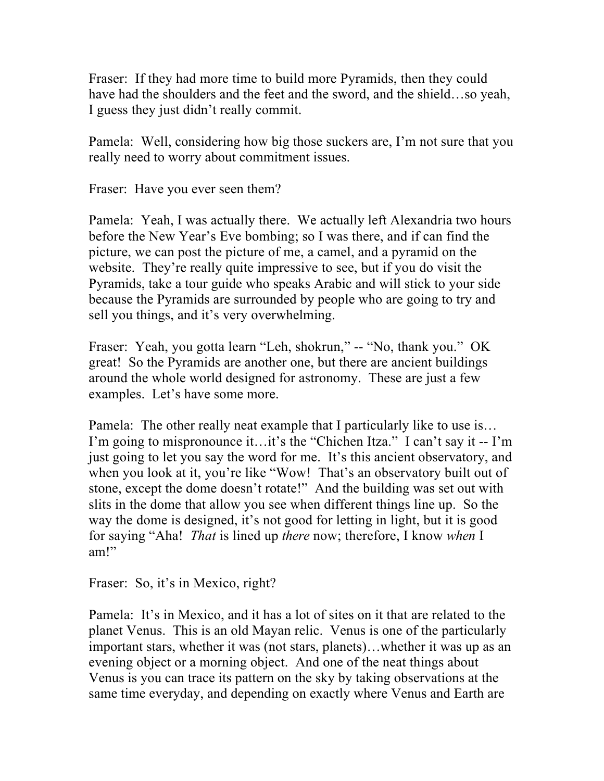Fraser: If they had more time to build more Pyramids, then they could have had the shoulders and the feet and the sword, and the shield...so yeah, I guess they just didn't really commit.

Pamela: Well, considering how big those suckers are, I'm not sure that you really need to worry about commitment issues.

Fraser: Have you ever seen them?

Pamela: Yeah, I was actually there. We actually left Alexandria two hours before the New Year's Eve bombing; so I was there, and if can find the picture, we can post the picture of me, a camel, and a pyramid on the website. They're really quite impressive to see, but if you do visit the Pyramids, take a tour guide who speaks Arabic and will stick to your side because the Pyramids are surrounded by people who are going to try and sell you things, and it's very overwhelming.

Fraser: Yeah, you gotta learn "Leh, shokrun," -- "No, thank you." OK great! So the Pyramids are another one, but there are ancient buildings around the whole world designed for astronomy. These are just a few examples. Let's have some more.

Pamela: The other really neat example that I particularly like to use is… I'm going to mispronounce it…it's the "Chichen Itza." I can't say it -- I'm just going to let you say the word for me. It's this ancient observatory, and when you look at it, you're like "Wow! That's an observatory built out of stone, except the dome doesn't rotate!" And the building was set out with slits in the dome that allow you see when different things line up. So the way the dome is designed, it's not good for letting in light, but it is good for saying "Aha! *That* is lined up *there* now; therefore, I know *when* I am!"

Fraser: So, it's in Mexico, right?

Pamela: It's in Mexico, and it has a lot of sites on it that are related to the planet Venus. This is an old Mayan relic. Venus is one of the particularly important stars, whether it was (not stars, planets)…whether it was up as an evening object or a morning object. And one of the neat things about Venus is you can trace its pattern on the sky by taking observations at the same time everyday, and depending on exactly where Venus and Earth are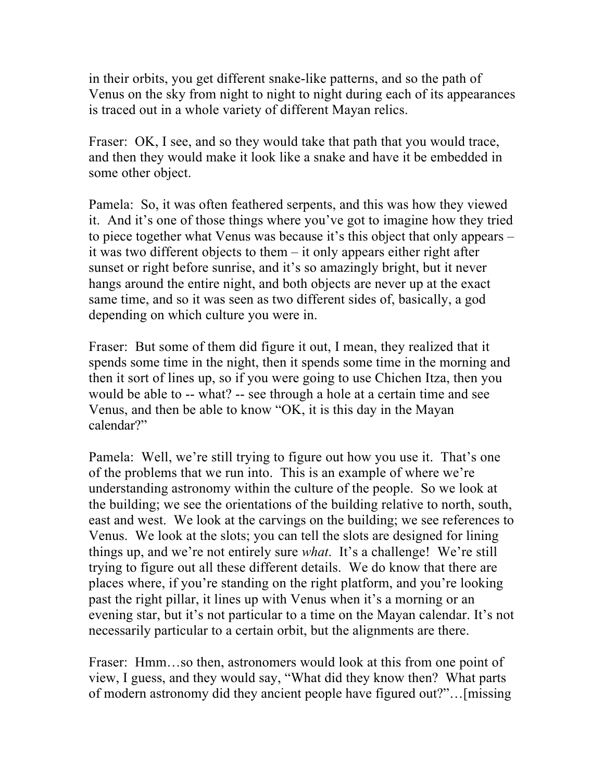in their orbits, you get different snake-like patterns, and so the path of Venus on the sky from night to night to night during each of its appearances is traced out in a whole variety of different Mayan relics.

Fraser: OK, I see, and so they would take that path that you would trace, and then they would make it look like a snake and have it be embedded in some other object.

Pamela: So, it was often feathered serpents, and this was how they viewed it. And it's one of those things where you've got to imagine how they tried to piece together what Venus was because it's this object that only appears – it was two different objects to them – it only appears either right after sunset or right before sunrise, and it's so amazingly bright, but it never hangs around the entire night, and both objects are never up at the exact same time, and so it was seen as two different sides of, basically, a god depending on which culture you were in.

Fraser: But some of them did figure it out, I mean, they realized that it spends some time in the night, then it spends some time in the morning and then it sort of lines up, so if you were going to use Chichen Itza, then you would be able to -- what? -- see through a hole at a certain time and see Venus, and then be able to know "OK, it is this day in the Mayan calendar?"

Pamela: Well, we're still trying to figure out how you use it. That's one of the problems that we run into. This is an example of where we're understanding astronomy within the culture of the people. So we look at the building; we see the orientations of the building relative to north, south, east and west. We look at the carvings on the building; we see references to Venus. We look at the slots; you can tell the slots are designed for lining things up, and we're not entirely sure *what*. It's a challenge! We're still trying to figure out all these different details. We do know that there are places where, if you're standing on the right platform, and you're looking past the right pillar, it lines up with Venus when it's a morning or an evening star, but it's not particular to a time on the Mayan calendar. It's not necessarily particular to a certain orbit, but the alignments are there.

Fraser: Hmm…so then, astronomers would look at this from one point of view, I guess, and they would say, "What did they know then? What parts of modern astronomy did they ancient people have figured out?"…[missing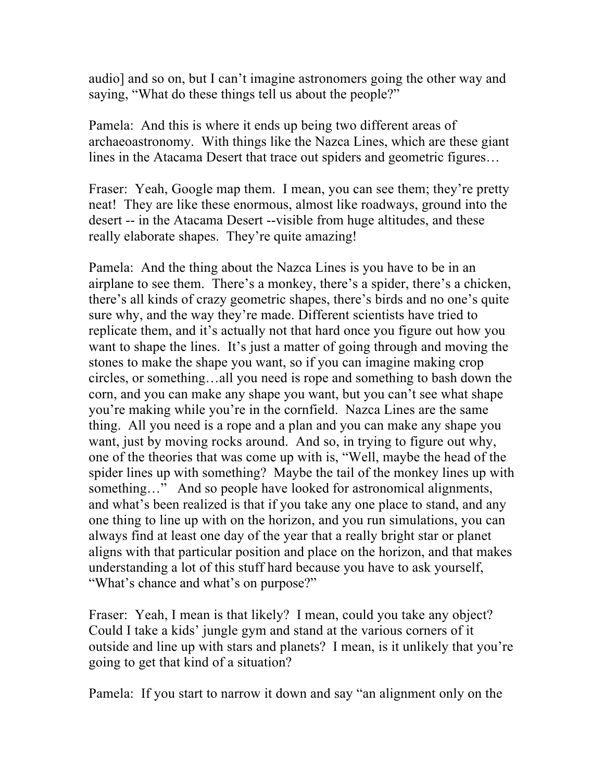audio] and so on, but I can't imagine astronomers going the other way and saying, "What do these things tell us about the people?"

Pamela: And this is where it ends up being two different areas of archaeoastronomy. With things like the Nazca Lines, which are these giant lines in the Atacama Desert that trace out spiders and geometric figures…

Fraser: Yeah, Google map them. I mean, you can see them; they're pretty neat! They are like these enormous, almost like roadways, ground into the desert -- in the Atacama Desert --visible from huge altitudes, and these really elaborate shapes. They're quite amazing!

Pamela: And the thing about the Nazca Lines is you have to be in an airplane to see them. There's a monkey, there's a spider, there's a chicken, there's all kinds of crazy geometric shapes, there's birds and no one's quite sure why, and the way they're made. Different scientists have tried to replicate them, and it's actually not that hard once you figure out how you want to shape the lines. It's just a matter of going through and moving the stones to make the shape you want, so if you can imagine making crop circles, or something…all you need is rope and something to bash down the corn, and you can make any shape you want, but you can't see what shape you're making while you're in the cornfield. Nazca Lines are the same thing. All you need is a rope and a plan and you can make any shape you want, just by moving rocks around. And so, in trying to figure out why, one of the theories that was come up with is, "Well, maybe the head of the spider lines up with something? Maybe the tail of the monkey lines up with something..." And so people have looked for astronomical alignments, and what's been realized is that if you take any one place to stand, and any one thing to line up with on the horizon, and you run simulations, you can always find at least one day of the year that a really bright star or planet aligns with that particular position and place on the horizon, and that makes understanding a lot of this stuff hard because you have to ask yourself, "What's chance and what's on purpose?"

Fraser: Yeah, I mean is that likely? I mean, could you take any object? Could I take a kids' jungle gym and stand at the various corners of it outside and line up with stars and planets? I mean, is it unlikely that you're going to get that kind of a situation?

Pamela: If you start to narrow it down and say "an alignment only on the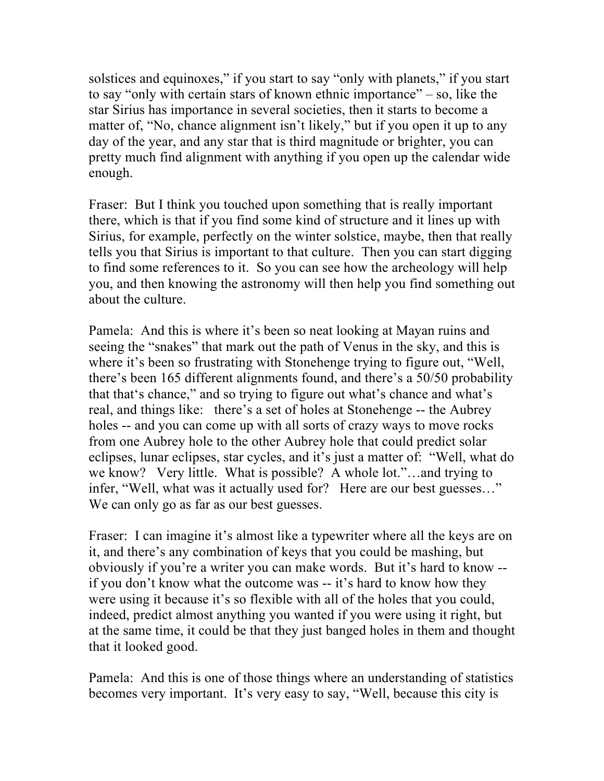solstices and equinoxes," if you start to say "only with planets," if you start to say "only with certain stars of known ethnic importance" – so, like the star Sirius has importance in several societies, then it starts to become a matter of, "No, chance alignment isn't likely," but if you open it up to any day of the year, and any star that is third magnitude or brighter, you can pretty much find alignment with anything if you open up the calendar wide enough.

Fraser: But I think you touched upon something that is really important there, which is that if you find some kind of structure and it lines up with Sirius, for example, perfectly on the winter solstice, maybe, then that really tells you that Sirius is important to that culture. Then you can start digging to find some references to it. So you can see how the archeology will help you, and then knowing the astronomy will then help you find something out about the culture.

Pamela: And this is where it's been so neat looking at Mayan ruins and seeing the "snakes" that mark out the path of Venus in the sky, and this is where it's been so frustrating with Stonehenge trying to figure out, "Well, there's been 165 different alignments found, and there's a 50/50 probability that that's chance," and so trying to figure out what's chance and what's real, and things like: there's a set of holes at Stonehenge -- the Aubrey holes -- and you can come up with all sorts of crazy ways to move rocks from one Aubrey hole to the other Aubrey hole that could predict solar eclipses, lunar eclipses, star cycles, and it's just a matter of: "Well, what do we know? Very little. What is possible? A whole lot."…and trying to infer, "Well, what was it actually used for? Here are our best guesses…" We can only go as far as our best guesses.

Fraser: I can imagine it's almost like a typewriter where all the keys are on it, and there's any combination of keys that you could be mashing, but obviously if you're a writer you can make words. But it's hard to know - if you don't know what the outcome was -- it's hard to know how they were using it because it's so flexible with all of the holes that you could, indeed, predict almost anything you wanted if you were using it right, but at the same time, it could be that they just banged holes in them and thought that it looked good.

Pamela: And this is one of those things where an understanding of statistics becomes very important. It's very easy to say, "Well, because this city is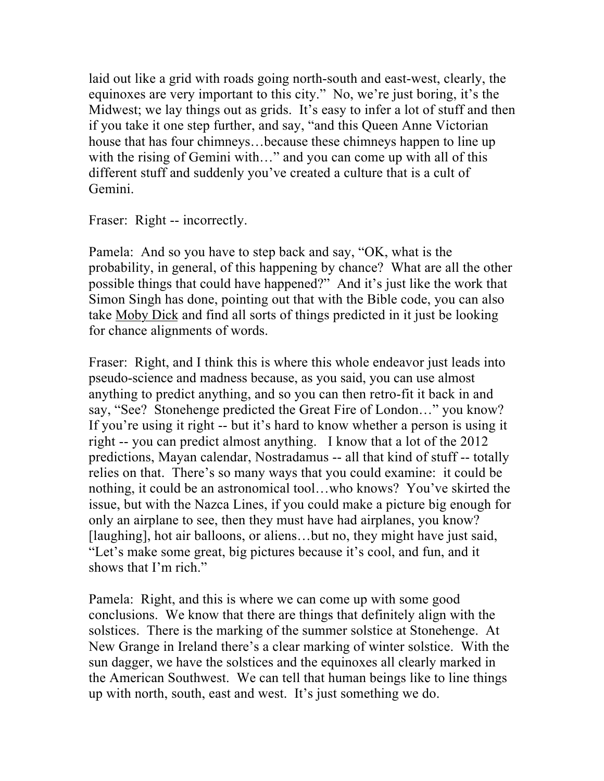laid out like a grid with roads going north-south and east-west, clearly, the equinoxes are very important to this city." No, we're just boring, it's the Midwest; we lay things out as grids. It's easy to infer a lot of stuff and then if you take it one step further, and say, "and this Queen Anne Victorian house that has four chimneys…because these chimneys happen to line up with the rising of Gemini with..." and you can come up with all of this different stuff and suddenly you've created a culture that is a cult of Gemini.

Fraser: Right -- incorrectly.

Pamela: And so you have to step back and say, "OK, what is the probability, in general, of this happening by chance? What are all the other possible things that could have happened?" And it's just like the work that Simon Singh has done, pointing out that with the Bible code, you can also take Moby Dick and find all sorts of things predicted in it just be looking for chance alignments of words.

Fraser: Right, and I think this is where this whole endeavor just leads into pseudo-science and madness because, as you said, you can use almost anything to predict anything, and so you can then retro-fit it back in and say, "See? Stonehenge predicted the Great Fire of London…" you know? If you're using it right -- but it's hard to know whether a person is using it right -- you can predict almost anything. I know that a lot of the 2012 predictions, Mayan calendar, Nostradamus -- all that kind of stuff -- totally relies on that. There's so many ways that you could examine: it could be nothing, it could be an astronomical tool…who knows? You've skirted the issue, but with the Nazca Lines, if you could make a picture big enough for only an airplane to see, then they must have had airplanes, you know? [laughing], hot air balloons, or aliens…but no, they might have just said, "Let's make some great, big pictures because it's cool, and fun, and it shows that I'm rich."

Pamela: Right, and this is where we can come up with some good conclusions. We know that there are things that definitely align with the solstices. There is the marking of the summer solstice at Stonehenge. At New Grange in Ireland there's a clear marking of winter solstice. With the sun dagger, we have the solstices and the equinoxes all clearly marked in the American Southwest. We can tell that human beings like to line things up with north, south, east and west. It's just something we do.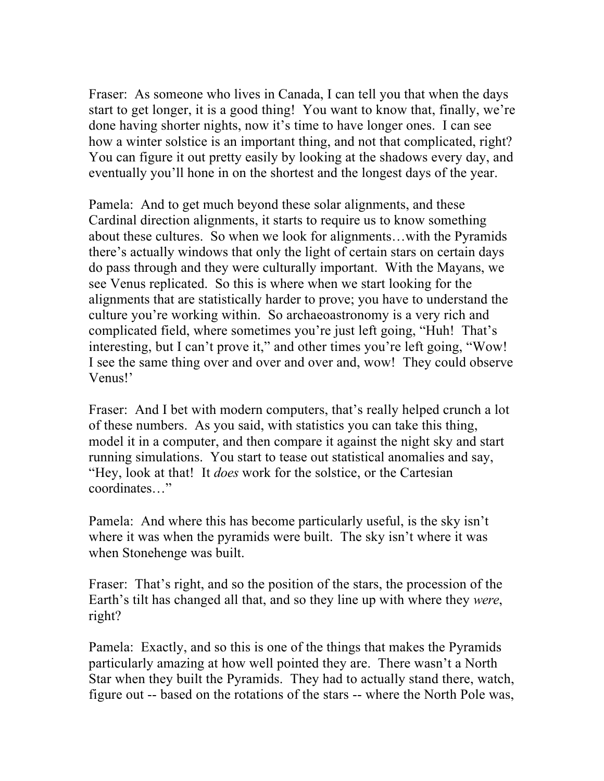Fraser: As someone who lives in Canada, I can tell you that when the days start to get longer, it is a good thing! You want to know that, finally, we're done having shorter nights, now it's time to have longer ones. I can see how a winter solstice is an important thing, and not that complicated, right? You can figure it out pretty easily by looking at the shadows every day, and eventually you'll hone in on the shortest and the longest days of the year.

Pamela: And to get much beyond these solar alignments, and these Cardinal direction alignments, it starts to require us to know something about these cultures. So when we look for alignments…with the Pyramids there's actually windows that only the light of certain stars on certain days do pass through and they were culturally important. With the Mayans, we see Venus replicated. So this is where when we start looking for the alignments that are statistically harder to prove; you have to understand the culture you're working within. So archaeoastronomy is a very rich and complicated field, where sometimes you're just left going, "Huh! That's interesting, but I can't prove it," and other times you're left going, "Wow! I see the same thing over and over and over and, wow! They could observe Venus!'

Fraser: And I bet with modern computers, that's really helped crunch a lot of these numbers. As you said, with statistics you can take this thing, model it in a computer, and then compare it against the night sky and start running simulations. You start to tease out statistical anomalies and say, "Hey, look at that! It *does* work for the solstice, or the Cartesian coordinates…"

Pamela: And where this has become particularly useful, is the sky isn't where it was when the pyramids were built. The sky isn't where it was when Stonehenge was built.

Fraser: That's right, and so the position of the stars, the procession of the Earth's tilt has changed all that, and so they line up with where they *were*, right?

Pamela: Exactly, and so this is one of the things that makes the Pyramids particularly amazing at how well pointed they are. There wasn't a North Star when they built the Pyramids. They had to actually stand there, watch, figure out -- based on the rotations of the stars -- where the North Pole was,